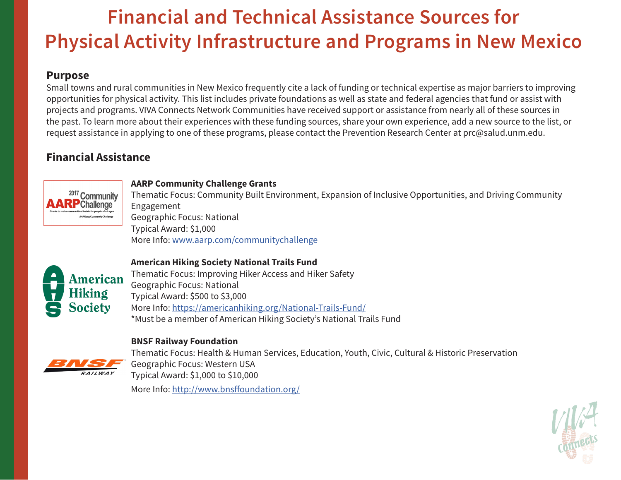# **Financial and Technical Assistance Sources for Physical Activity Infrastructure and Programs in New Mexico**

## **Purpose**

Small towns and rural communities in New Mexico frequently cite a lack of funding or technical expertise as major barriers to improving opportunities for physical activity. This list includes private foundations as well as state and federal agencies that fund or assist with projects and programs. VIVA Connects Network Communities have received support or assistance from nearly all of these sources in the past. To learn more about their experiences with these funding sources, share your own experience, add a new source to the list, or request assistance in applying to one of these programs, please contact the Prevention Research Center at prc@salud.unm.edu.

# **Financial Assistance**



#### **AARP Community Challenge Grants**

Thematic Focus: Community Built Environment, Expansion of Inclusive Opportunities, and Driving Community Engagement Geographic Focus: National Typical Award: \$1,000 More Info: www.aarp.com/communitychallenge



#### **American Hiking Society National Trails Fund**

Thematic Focus: Improving Hiker Access and Hiker Safety Geographic Focus: National Typical Award: \$500 to \$3,000 More Info: https://americanhiking.org/National-Trails-Fund/ \*Must be a member of American Hiking Society's National Trails Fund

#### **BNSF Railway Foundation**



Thematic Focus: Health & Human Services, Education, Youth, Civic, Cultural & Historic Preservation Geographic Focus: Western USA Typical Award: \$1,000 to \$10,000 More Info: http://www.bnsffoundation.org/

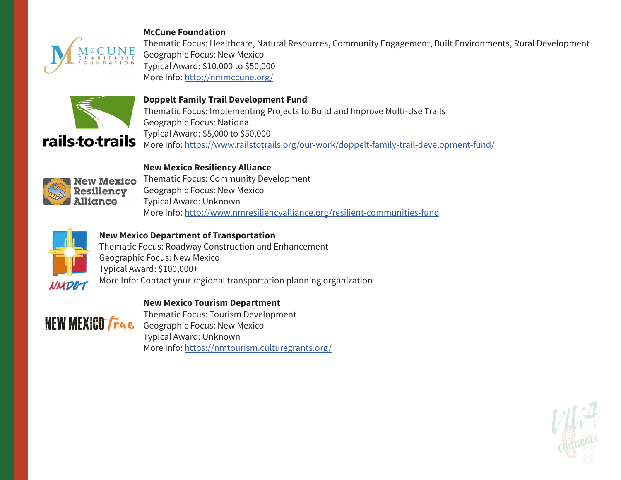#### **McCune Foundation**



rails<sub>to</sub>trails

Thematic Focus: Healthcare, Natural Resources, Community Engagement, Built Environments, Rural Development Geographic Focus: New Mexico Typical Award: \$10,000 to \$50,000 More Info: http://nmmccune.org/

**Doppelt Family Trail Development Fund**

Thematic Focus: Implementing Projects to Build and Improve Multi-Use Trails Geographic Focus: National Typical Award: \$5,000 to \$50,000 More Info: https://www.railstotrails.org/our-work/doppelt-family-trail-development-fund/

## **New Mexico Resiliency Alliance**



New Mexico Thematic Focus: Community Development Geographic Focus: New Mexico Typical Award: Unknown More Info: http://www.nmresiliencyalliance.org/resilient-communities-fund



### **New Mexico Department of Transportation**

Thematic Focus: Roadway Construction and Enhancement Geographic Focus: New Mexico Typical Award: \$100,000+ More Info: Contact your regional transportation planning organization

#### **New Mexico Tourism Department**



Thematic Focus: Tourism Development NEW MEXICO True Geographic Focus: New Mexico Typical Award: Unknown More Info: https://nmtourism.culturegrants.org/

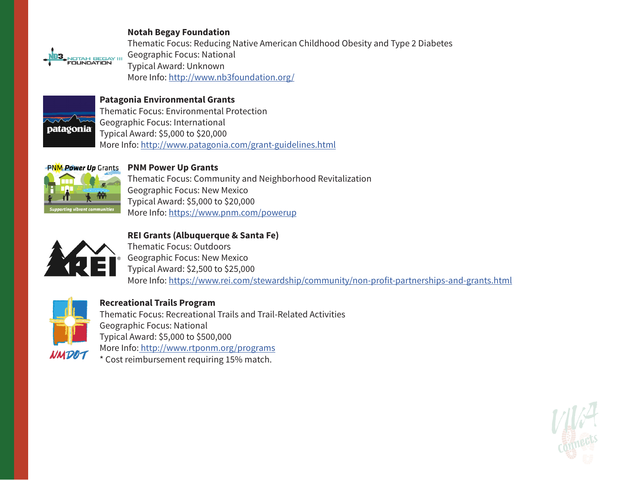#### **Notah Begay Foundation**



Thematic Focus: Reducing Native American Childhood Obesity and Type 2 Diabetes Geographic Focus: National Typical Award: Unknown More Info: http://www.nb3foundation.org/



#### **Patagonia Environmental Grants**

Thematic Focus: Environmental Protection Geographic Focus: International Typical Award: \$5,000 to \$20,000 More Info: http://www.patagonia.com/grant-guidelines.html



#### **PNM Power Up Grants**

Thematic Focus: Community and Neighborhood Revitalization Geographic Focus: New Mexico Typical Award: \$5,000 to \$20,000 More Info: https://www.pnm.com/powerup



**REI Grants (Albuquerque & Santa Fe)** Thematic Focus: Outdoors Geographic Focus: New Mexico Typical Award: \$2,500 to \$25,000 More Info: https://www.rei.com/stewardship/community/non-profit-partnerships-and-grants.html



**Recreational Trails Program** Thematic Focus: Recreational Trails and Trail-Related Activities Geographic Focus: National Typical Award: \$5,000 to \$500,000 More Info: http://www.rtponm.org/programs

\* Cost reimbursement requiring 15% match.

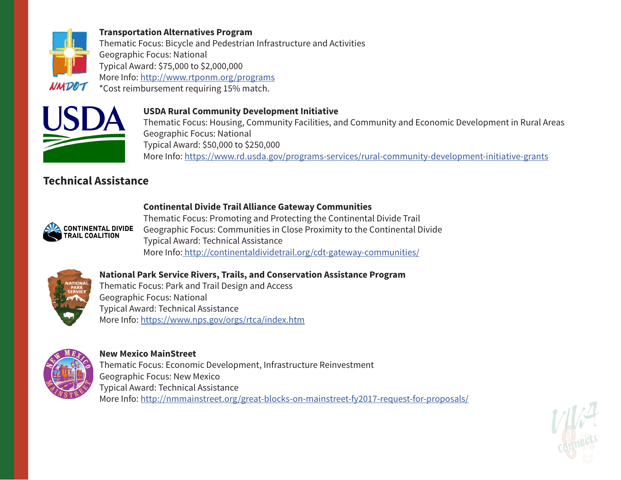

#### **Transportation Alternatives Program**

Thematic Focus: Bicycle and Pedestrian Infrastructure and Activities Geographic Focus: National Typical Award: \$75,000 to \$2,000,000 More Info: http://www.rtponm.org/programs \*Cost reimbursement requiring 15% match.



#### **USDA Rural Community Development Initiative**

Thematic Focus: Housing, Community Facilities, and Community and Economic Development in Rural Areas Geographic Focus: National Typical Award: \$50,000 to \$250,000 More Info: https://www.rd.usda.gov/programs-services/rural-community-development-initiative-grants

# **Technical Assistance**



#### **Continental Divide Trail Alliance Gateway Communities**

Thematic Focus: Promoting and Protecting the Continental Divide Trail Geographic Focus: Communities in Close Proximity to the Continental Divide Typical Award: Technical Assistance More Info: http://continentaldividetrail.org/cdt-gateway-communities/



#### **National Park Service Rivers, Trails, and Conservation Assistance Program**

Thematic Focus: Park and Trail Design and Access Geographic Focus: National Typical Award: Technical Assistance More Info: https://www.nps.gov/orgs/rtca/index.htm



#### **New Mexico MainStreet**

Thematic Focus: Economic Development, Infrastructure Reinvestment Geographic Focus: New Mexico Typical Award: Technical Assistance More Info: http://nmmainstreet.org/great-blocks-on-mainstreet-fy2017-request-for-proposals/